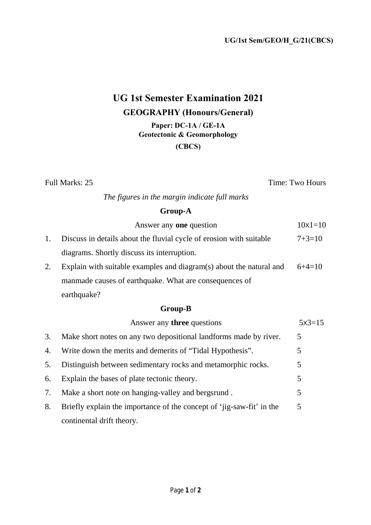# **UG 1st Semester Examination 2021 GEOGRAPHY (Honours/General) Paper: DC-1A / GE-1A**

**Geotectonic & Geomorphology**

**(CBCS)** 

Full Marks: 25 Time: Two Hours

*The figures in the margin indicate full marks* 

# **Group-A**

|    | Answer any <b>one</b> question                                      | $10x1=10$ |
|----|---------------------------------------------------------------------|-----------|
| 1. | Discuss in details about the fluvial cycle of erosion with suitable | $7+3=10$  |
|    | diagrams. Shortly discuss its interruption.                         |           |
| 2. | Explain with suitable examples and diagram(s) about the natural and | $6+4=10$  |
|    | manmade causes of earthquake. What are consequences of              |           |
|    | earthquake?                                                         |           |

# **Group-B**

|    | Answer any <b>three</b> questions                                     | $5x3=15$ |
|----|-----------------------------------------------------------------------|----------|
| 3. | Make short notes on any two depositional landforms made by river.     | 5        |
| 4. | Write down the merits and demerits of "Tidal Hypothesis".             | 5        |
| 5. | Distinguish between sedimentary rocks and metamorphic rocks.          | 5        |
| 6. | Explain the bases of plate tectonic theory.                           | 5        |
| 7. | Make a short note on hanging-valley and bergsrund.                    | 5        |
| 8. | Briefly explain the importance of the concept of 'jig-saw-fit' in the | 5        |
|    | continental drift theory.                                             |          |